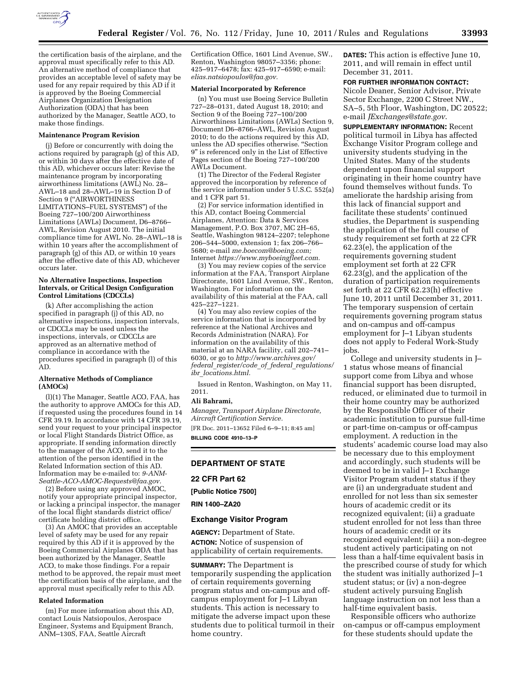

the certification basis of the airplane, and the approval must specifically refer to this AD. An alternative method of compliance that provides an acceptable level of safety may be used for any repair required by this AD if it is approved by the Boeing Commercial Airplanes Organization Designation Authorization (ODA) that has been authorized by the Manager, Seattle ACO, to make those findings.

### **Maintenance Program Revision**

(j) Before or concurrently with doing the actions required by paragraph (g) of this AD, or within 30 days after the effective date of this AD, whichever occurs later: Revise the maintenance program by incorporating airworthiness limitations (AWL) No. 28– AWL–18 and 28–AWL–19 in Section D of Section 9 (''AIRWORTHINESS LIMITATIONS–FUEL SYSTEMS'') of the Boeing 727–100/200 Airworthiness Limitations (AWLs) Document, D6–8766– AWL, Revision August 2010. The initial compliance time for AWL No. 28–AWL–18 is within 10 years after the accomplishment of paragraph (g) of this AD, or within 10 years after the effective date of this AD, whichever occurs later.

## **No Alternative Inspections, Inspection Intervals, or Critical Design Configuration Control Limitations (CDCCLs)**

(k) After accomplishing the action specified in paragraph (j) of this AD, no alternative inspections, inspection intervals, or CDCCLs may be used unless the inspections, intervals, or CDCCLs are approved as an alternative method of compliance in accordance with the procedures specified in paragraph (l) of this AD.

## **Alternative Methods of Compliance (AMOCs)**

(l)(1) The Manager, Seattle ACO, FAA, has the authority to approve AMOCs for this AD, if requested using the procedures found in 14 CFR 39.19. In accordance with 14 CFR 39.19, send your request to your principal inspector or local Flight Standards District Office, as appropriate. If sending information directly to the manager of the ACO, send it to the attention of the person identified in the Related Information section of this AD. Information may be e-mailed to: *[9-ANM-](mailto:9-ANM-Seattle-ACO-AMOC-Requests@faa.gov)[Seattle-ACO-AMOC-Requests@faa.gov.](mailto:9-ANM-Seattle-ACO-AMOC-Requests@faa.gov)* 

(2) Before using any approved AMOC, notify your appropriate principal inspector, or lacking a principal inspector, the manager of the local flight standards district office/ certificate holding district office.

(3) An AMOC that provides an acceptable level of safety may be used for any repair required by this AD if it is approved by the Boeing Commercial Airplanes ODA that has been authorized by the Manager, Seattle ACO, to make those findings. For a repair method to be approved, the repair must meet the certification basis of the airplane, and the approval must specifically refer to this AD.

### **Related Information**

(m) For more information about this AD, contact Louis Natsiopoulos, Aerospace Engineer, Systems and Equipment Branch, ANM–130S, FAA, Seattle Aircraft

Certification Office, 1601 Lind Avenue, SW., Renton, Washington 98057–3356; phone: 425–917–6478; fax: 425–917–6590; e-mail: *[elias.natsiopoulos@faa.gov.](mailto:elias.natsiopoulos@faa.gov)* 

## **Material Incorporated by Reference**

(n) You must use Boeing Service Bulletin 727–28–0131, dated August 18, 2010; and Section 9 of the Boeing 727–100/200 Airworthiness Limitations (AWLs) Section 9, Document D6–8766–AWL, Revision August 2010; to do the actions required by this AD, unless the AD specifies otherwise. ''Section 9'' is referenced only in the List of Effective Pages section of the Boeing 727–100/200 AWLs Document.

(1) The Director of the Federal Register approved the incorporation by reference of the service information under 5 U.S.C. 552(a) and 1 CFR part 51.

(2) For service information identified in this AD, contact Boeing Commercial Airplanes, Attention: Data & Services Management, P.O. Box 3707, MC 2H–65, Seattle, Washington 98124–2207; telephone 206–544–5000, extension 1; fax 206–766– 5680; e-mail *[me.boecom@boeing.com;](mailto:me.boecom@boeing.com)*  Internet *[https://www.myboeingfleet.com.](https://www.myboeingfleet.com)* 

(3) You may review copies of the service information at the FAA, Transport Airplane Directorate, 1601 Lind Avenue, SW., Renton, Washington. For information on the availability of this material at the FAA, call 425–227–1221.

(4) You may also review copies of the service information that is incorporated by reference at the National Archives and Records Administration (NARA). For information on the availability of this material at an NARA facility, call 202–741– 6030, or go to *[http://www.archives.gov/](http://www.archives.gov/federal_register/code_of_federal_regulations/ibr_locations.html)  federal*\_*[register/code](http://www.archives.gov/federal_register/code_of_federal_regulations/ibr_locations.html)*\_*of*\_*federal*\_*regulations/ ibr*\_*[locations.html.](http://www.archives.gov/federal_register/code_of_federal_regulations/ibr_locations.html)* 

Issued in Renton, Washington, on May 11, 2011.

### **Ali Bahrami,**

*Manager, Transport Airplane Directorate, Aircraft Certification Service.* 

[FR Doc. 2011–13652 Filed 6–9–11; 8:45 am] **BILLING CODE 4910–13–P** 

# **DEPARTMENT OF STATE**

## **22 CFR Part 62**

**[Public Notice 7500]** 

**RIN 1400–ZA20** 

## **Exchange Visitor Program**

**AGENCY:** Department of State. **ACTION:** Notice of suspension of applicability of certain requirements.

**SUMMARY:** The Department is temporarily suspending the application of certain requirements governing program status and on-campus and offcampus employment for J–1 Libyan students. This action is necessary to mitigate the adverse impact upon these students due to political turmoil in their home country.

**DATES:** This action is effective June 10, 2011, and will remain in effect until December 31, 2011.

### **FOR FURTHER INFORMATION CONTACT:**

Nicole Deaner, Senior Advisor, Private Sector Exchange, 2200 C Street NW., SA–5, 5th Floor, Washington, DC 20522; e-mail *[JExchanges@state.gov](mailto:JExchanges@state.gov)*.

**SUPPLEMENTARY INFORMATION:** Recent political turmoil in Libya has affected Exchange Visitor Program college and university students studying in the United States. Many of the students dependent upon financial support originating in their home country have found themselves without funds. To ameliorate the hardship arising from this lack of financial support and facilitate these students' continued studies, the Department is suspending the application of the full course of study requirement set forth at 22 CFR 62.23(e), the application of the requirements governing student employment set forth at 22 CFR 62.23(g), and the application of the duration of participation requirements set forth at 22 CFR 62.23(h) effective June 10, 2011 until December 31, 2011. The temporary suspension of certain requirements governing program status and on-campus and off-campus employment for J–1 Libyan students does not apply to Federal Work-Study jobs.

College and university students in J– 1 status whose means of financial support come from Libya and whose financial support has been disrupted, reduced, or eliminated due to turmoil in their home country may be authorized by the Responsible Officer of their academic institution to pursue full-time or part-time on-campus or off-campus employment. A reduction in the students' academic course load may also be necessary due to this employment and accordingly, such students will be deemed to be in valid J–1 Exchange Visitor Program student status if they are (i) an undergraduate student and enrolled for not less than six semester hours of academic credit or its recognized equivalent; (ii) a graduate student enrolled for not less than three hours of academic credit or its recognized equivalent; (iii) a non-degree student actively participating on not less than a half-time equivalent basis in the prescribed course of study for which the student was initially authorized J–1 student status; or (iv) a non-degree student actively pursuing English language instruction on not less than a half-time equivalent basis.

Responsible officers who authorize on-campus or off-campus employment for these students should update the